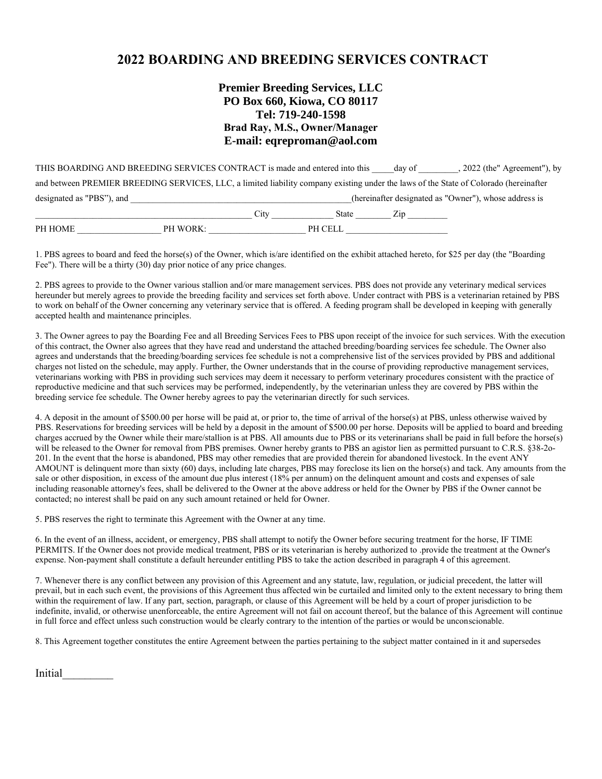# **2022 BOARDING AND BREEDING SERVICES CONTRACT**

## **Premier Breeding Services, LLC PO Box 660, Kiowa, CO 80117 Tel: 719-240-1598 Brad Ray, M.S., Owner/Manager E-mail: eqreproman@aol.com**

| PH HOME                                                                    | PH WORK: |      | PH CELL |        |                                                                                                                                       |
|----------------------------------------------------------------------------|----------|------|---------|--------|---------------------------------------------------------------------------------------------------------------------------------------|
|                                                                            |          | City | State   | Zip    |                                                                                                                                       |
| designated as "PBS"), and                                                  |          |      |         |        | (hereinafter designated as "Owner"), whose address is                                                                                 |
|                                                                            |          |      |         |        | and between PREMIER BREEDING SERVICES, LLC, a limited liability company existing under the laws of the State of Colorado (hereinafter |
| THIS BOARDING AND BREEDING SERVICES CONTRACT is made and entered into this |          |      |         | day of | , 2022 (the" Agreement"), by                                                                                                          |

1. PBS agrees to board and feed the horse(s) of the Owner, which is/are identified on the exhibit attached hereto, for \$25 per day (the "Boarding Fee"). There will be a thirty (30) day prior notice of any price changes.

2. PBS agrees to provide to the Owner various stallion and/or mare management services. PBS does not provide any veterinary medical services hereunder but merely agrees to provide the breeding facility and services set forth above. Under contract with PBS is a veterinarian retained by PBS to work on behalf of the Owner concerning any veterinary service that is offered. A feeding program shall be developed in keeping with generally accepted health and maintenance principles.

3. The Owner agrees to pay the Boarding Fee and all Breeding Services Fees to PBS upon receipt of the invoice for such services. With the execution of this contract, the Owner also agrees that they have read and understand the attached breeding/boarding services fee schedule. The Owner also agrees and understands that the breeding/boarding services fee schedule is not a comprehensive list of the services provided by PBS and additional charges not listed on the schedule, may apply. Further, the Owner understands that in the course of providing reproductive management services, veterinarians working with PBS in providing such services may deem it necessary to perform veterinary procedures consistent with the practice of reproductive medicine and that such services may be performed, independently, by the veterinarian unless they are covered by PBS within the breeding service fee schedule. The Owner hereby agrees to pay the veterinarian directly for such services.

4. A deposit in the amount of \$500.00 per horse will be paid at, or prior to, the time of arrival of the horse(s) at PBS, unless otherwise waived by PBS. Reservations for breeding services will be held by a deposit in the amount of \$500.00 per horse. Deposits will be applied to board and breeding charges accrued by the Owner while their mare/stallion is at PBS. All amounts due to PBS or its veterinarians shall be paid in full before the horse(s) will be released to the Owner for removal from PBS premises. Owner hereby grants to PBS an agistor lien as permitted pursuant to C.R.S. §38-2o-201. In the event that the horse is abandoned, PBS may other remedies that are provided therein for abandoned livestock. In the event ANY AMOUNT is delinquent more than sixty (60) days, including late charges, PBS may foreclose its lien on the horse(s) and tack. Any amounts from the sale or other disposition, in excess of the amount due plus interest (18% per annum) on the delinquent amount and costs and expenses of sale including reasonable attorney's fees, shall be delivered to the Owner at the above address or held for the Owner by PBS if the Owner cannot be contacted; no interest shall be paid on any such amount retained or held for Owner.

5. PBS reserves the right to terminate this Agreement with the Owner at any time.

6. In the event of an illness, accident, or emergency, PBS shall attempt to notify the Owner before securing treatment for the horse, IF TIME PERMITS. If the Owner does not provide medical treatment, PBS or its veterinarian is hereby authorized to .provide the treatment at the Owner's expense. Non-payment shall constitute a default hereunder entitling PBS to take the action described in paragraph 4 of this agreement.

7. Whenever there is any conflict between any provision of this Agreement and any statute, law, regulation, or judicial precedent, the latter will prevail, but in each such event, the provisions of this Agreement thus affected win be curtailed and limited only to the extent necessary to bring them within the requirement of law. If any part, section, paragraph, or clause of this Agreement will be held by a court of proper jurisdiction to be indefinite, invalid, or otherwise unenforceable, the entire Agreement will not fail on account thereof, but the balance of this Agreement will continue in full force and effect unless such construction would be clearly contrary to the intention of the parties or would be unconscionable.

8. This Agreement together constitutes the entire Agreement between the parties pertaining to the subject matter contained in it and supersedes

Initial\_\_\_\_\_\_\_\_\_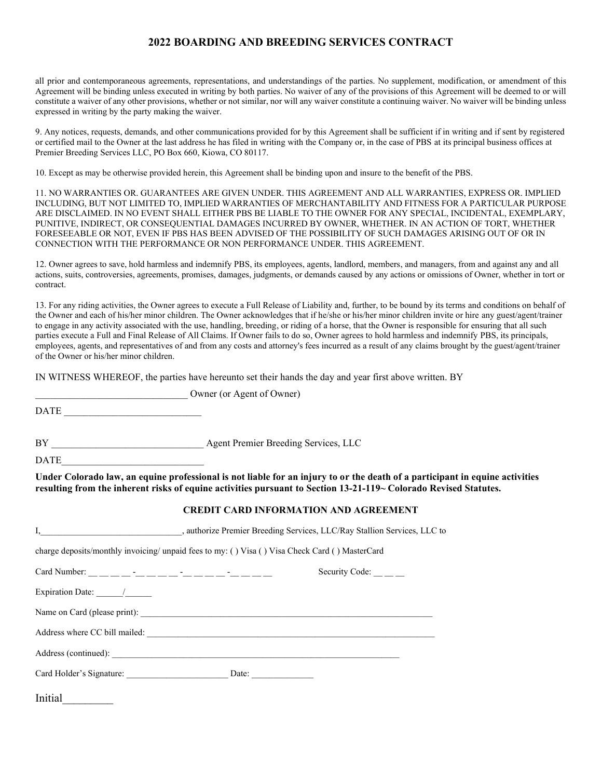### **2022 BOARDING AND BREEDING SERVICES CONTRACT**

all prior and contemporaneous agreements, representations, and understandings of the parties. No supplement, modification, or amendment of this Agreement will be binding unless executed in writing by both parties. No waiver of any of the provisions of this Agreement will be deemed to or will constitute a waiver of any other provisions, whether or not similar, nor will any waiver constitute a continuing waiver. No waiver will be binding unless expressed in writing by the party making the waiver.

9. Any notices, requests, demands, and other communications provided for by this Agreement shall be sufficient if in writing and if sent by registered or certified mail to the Owner at the last address he has filed in writing with the Company or, in the case of PBS at its principal business offices at Premier Breeding Services LLC, PO Box 660, Kiowa, CO 80117.

10. Except as may be otherwise provided herein, this Agreement shall be binding upon and insure to the benefit of the PBS.

11. NO WARRANTIES OR. GUARANTEES ARE GIVEN UNDER. THIS AGREEMENT AND ALL WARRANTIES, EXPRESS OR. IMPLIED INCLUDING, BUT NOT LIMITED TO, IMPLIED WARRANTIES OF MERCHANTABILITY AND FITNESS FOR A PARTICULAR PURPOSE ARE DISCLAIMED. IN NO EVENT SHALL EITHER PBS BE LIABLE TO THE OWNER FOR ANY SPECIAL, INCIDENTAL, EXEMPLARY, PUNITIVE, INDIRECT, OR CONSEQUENTIAL DAMAGES INCURRED BY OWNER, WHETHER. IN AN ACTION OF TORT, WHETHER FORESEEABLE OR NOT, EVEN IF PBS HAS BEEN ADVISED OF THE POSSIBILITY OF SUCH DAMAGES ARISING OUT OF OR IN CONNECTION WITH THE PERFORMANCE OR NON PERFORMANCE UNDER. THIS AGREEMENT.

12. Owner agrees to save, hold harmless and indemnify PBS, its employees, agents, landlord, members, and managers, from and against any and all actions, suits, controversies, agreements, promises, damages, judgments, or demands caused by any actions or omissions of Owner, whether in tort or contract.

13. For any riding activities, the Owner agrees to execute a Full Release of Liability and, further, to be bound by its terms and conditions on behalf of the Owner and each of his/her minor children. The Owner acknowledges that if he/she or his/her minor children invite or hire any guest/agent/trainer to engage in any activity associated with the use, handling, breeding, or riding of a horse, that the Owner is responsible for ensuring that all such parties execute a Full and Final Release of All Claims. If Owner fails to do so, Owner agrees to hold harmless and indemnify PBS, its principals, employees, agents, and representatives of and from any costs and attorney's fees incurred as a result of any claims brought by the guest/agent/trainer of the Owner or his/her minor children.

IN WITNESS WHEREOF, the parties have hereunto set their hands the day and year first above written. BY

DATE

BY Agent Premier Breeding Services, LLC

Owner (or Agent of Owner)

DATE\_\_\_\_\_\_\_\_\_\_\_\_\_\_\_\_\_\_\_\_\_\_\_\_\_\_\_\_\_

**Under Colorado law, an equine professional is not liable for an injury to or the death of a participant in equine activities resulting from the inherent risks of equine activities pursuant to Section 13-21-119~ Colorado Revised Statutes.** 

#### **CREDIT CARD INFORMATION AND AGREEMENT**

| charge deposits/monthly invoicing/ unpaid fees to my: () Visa () Visa Check Card () MasterCard                 |  |  |                              |  |  |
|----------------------------------------------------------------------------------------------------------------|--|--|------------------------------|--|--|
|                                                                                                                |  |  | Security Code: $\_\_$ $\_\_$ |  |  |
| Expiration Date: $\frac{1}{\sqrt{1-\frac{1}{2}}\sqrt{1-\frac{1}{2}}\sqrt{1-\frac{1}{2}}\sqrt{1-\frac{1}{2}}}}$ |  |  |                              |  |  |
|                                                                                                                |  |  |                              |  |  |
|                                                                                                                |  |  |                              |  |  |
|                                                                                                                |  |  |                              |  |  |
|                                                                                                                |  |  |                              |  |  |
| Initial                                                                                                        |  |  |                              |  |  |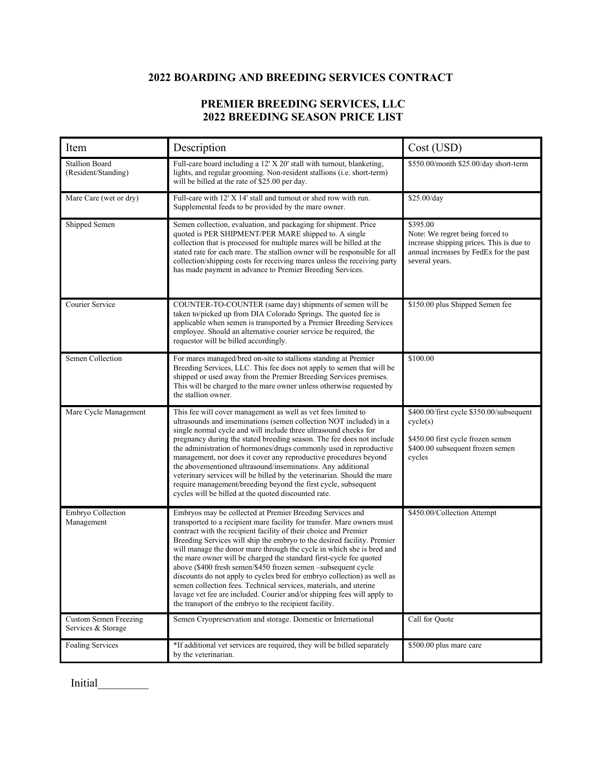# **2022 BOARDING AND BREEDING SERVICES CONTRACT**

## **PREMIER BREEDING SERVICES, LLC 2022 BREEDING SEASON PRICE LIST**

| Item                                               | Description                                                                                                                                                                                                                                                                                                                                                                                                                                                                                                                                                                                                                                                                                                                                                                              | Cost (USD)                                                                                                                                          |  |
|----------------------------------------------------|------------------------------------------------------------------------------------------------------------------------------------------------------------------------------------------------------------------------------------------------------------------------------------------------------------------------------------------------------------------------------------------------------------------------------------------------------------------------------------------------------------------------------------------------------------------------------------------------------------------------------------------------------------------------------------------------------------------------------------------------------------------------------------------|-----------------------------------------------------------------------------------------------------------------------------------------------------|--|
| <b>Stallion Board</b><br>(Resident/Standing)       | Full-care board including a 12' X 20' stall with turnout, blanketing,<br>lights, and regular grooming. Non-resident stallions (i.e. short-term)<br>will be billed at the rate of \$25.00 per day.                                                                                                                                                                                                                                                                                                                                                                                                                                                                                                                                                                                        | \$550.00/month \$25.00/day short-term                                                                                                               |  |
| Mare Care (wet or dry)                             | Full-care with 12' X 14' stall and turnout or shed row with run.<br>Supplemental feeds to be provided by the mare owner.                                                                                                                                                                                                                                                                                                                                                                                                                                                                                                                                                                                                                                                                 | \$25.00/day                                                                                                                                         |  |
| Shipped Semen                                      | Semen collection, evaluation, and packaging for shipment. Price<br>quoted is PER SHIPMENT/PER MARE shipped to. A single<br>collection that is processed for multiple mares will be billed at the<br>stated rate for each mare. The stallion owner will be responsible for all<br>collection/shipping costs for receiving mares unless the receiving party<br>has made payment in advance to Premier Breeding Services.                                                                                                                                                                                                                                                                                                                                                                   | \$395.00<br>Note: We regret being forced to<br>increase shipping prices. This is due to<br>annual increases by FedEx for the past<br>several years. |  |
| Courier Service                                    | COUNTER-TO-COUNTER (same day) shipments of semen will be<br>taken to/picked up from DIA Colorado Springs. The quoted fee is<br>applicable when semen is transported by a Premier Breeding Services<br>employee. Should an alternative courier service be required, the<br>requestor will be billed accordingly.                                                                                                                                                                                                                                                                                                                                                                                                                                                                          | \$150.00 plus Shipped Semen fee                                                                                                                     |  |
| Semen Collection                                   | For mares managed/bred on-site to stallions standing at Premier<br>Breeding Services, LLC. This fee does not apply to semen that will be<br>shipped or used away from the Premier Breeding Services premises.<br>This will be charged to the mare owner unless otherwise requested by<br>the stallion owner.                                                                                                                                                                                                                                                                                                                                                                                                                                                                             | \$100.00                                                                                                                                            |  |
| Mare Cycle Management                              | This fee will cover management as well as vet fees limited to<br>ultrasounds and inseminations (semen collection NOT included) in a<br>single normal cycle and will include three ultrasound checks for<br>pregnancy during the stated breeding season. The fee does not include<br>the administration of hormones/drugs commonly used in reproductive<br>management, nor does it cover any reproductive procedures beyond<br>the abovementioned ultrasound/inseminations. Any additional<br>veterinary services will be billed by the veterinarian. Should the mare<br>require management/breeding beyond the first cycle, subsequent<br>cycles will be billed at the quoted discounted rate.                                                                                           | \$400.00/first cycle \$350.00/subsequent<br>cycle(s)<br>\$450.00 first cycle frozen semen<br>\$400.00 subsequent frozen semen<br>cycles             |  |
| Embryo Collection<br>Management                    | Embryos may be collected at Premier Breeding Services and<br>transported to a recipient mare facility for transfer. Mare owners must<br>contract with the recipient facility of their choice and Premier<br>Breeding Services will ship the embryo to the desired facility. Premier<br>will manage the donor mare through the cycle in which she is bred and<br>the mare owner will be charged the standard first-cycle fee quoted<br>above (\$400 fresh semen/\$450 frozen semen -subsequent cycle<br>discounts do not apply to cycles bred for embryo collection) as well as<br>semen collection fees. Technical services, materials, and uterine<br>lavage vet fee are included. Courier and/or shipping fees will apply to<br>the transport of the embryo to the recipient facility. | \$450.00/Collection Attempt                                                                                                                         |  |
| <b>Custom Semen Freezing</b><br>Services & Storage | Semen Cryopreservation and storage. Domestic or International                                                                                                                                                                                                                                                                                                                                                                                                                                                                                                                                                                                                                                                                                                                            | Call for Quote                                                                                                                                      |  |
| Foaling Services                                   | *If additional vet services are required, they will be billed separately<br>by the veterinarian.                                                                                                                                                                                                                                                                                                                                                                                                                                                                                                                                                                                                                                                                                         | \$500.00 plus mare care                                                                                                                             |  |

Initial\_\_\_\_\_\_\_\_\_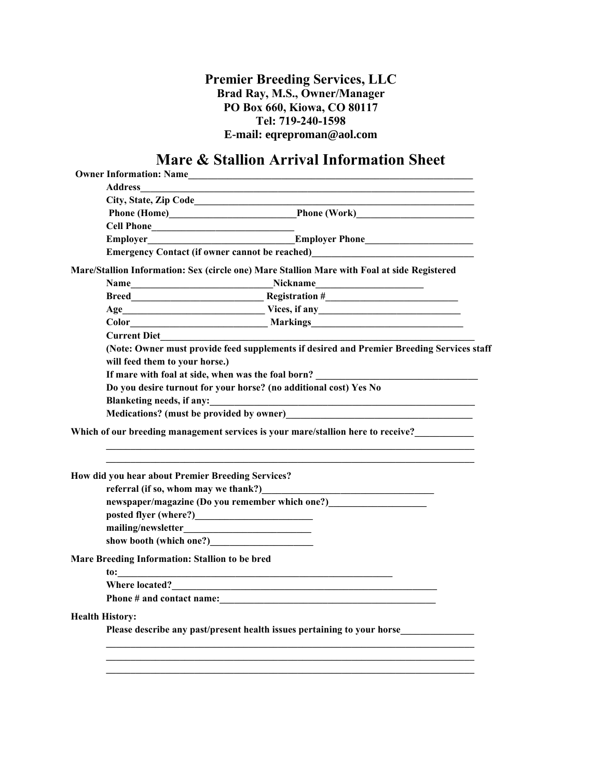**Premier Breeding Services, LLC Brad Ray, M.S., Owner/Manager PO Box 660, Kiowa, CO 80117 Tel: 719-240-1598 E-mail: eqreproman@aol.com**

# **Mare & Stallion Arrival Information Sheet**

| Owner Information: Name<br><u>Letter and the contract of the contract of the contract of the contract of the contract of the contract of the contract of the contract of the contract of the contract of the contract of the contr</u> |                                                    |                                                                                                                                                                                                                                        |  |  |  |  |  |  |
|----------------------------------------------------------------------------------------------------------------------------------------------------------------------------------------------------------------------------------------|----------------------------------------------------|----------------------------------------------------------------------------------------------------------------------------------------------------------------------------------------------------------------------------------------|--|--|--|--|--|--|
|                                                                                                                                                                                                                                        |                                                    |                                                                                                                                                                                                                                        |  |  |  |  |  |  |
|                                                                                                                                                                                                                                        |                                                    |                                                                                                                                                                                                                                        |  |  |  |  |  |  |
|                                                                                                                                                                                                                                        |                                                    |                                                                                                                                                                                                                                        |  |  |  |  |  |  |
|                                                                                                                                                                                                                                        | Cell Phone                                         |                                                                                                                                                                                                                                        |  |  |  |  |  |  |
|                                                                                                                                                                                                                                        |                                                    |                                                                                                                                                                                                                                        |  |  |  |  |  |  |
|                                                                                                                                                                                                                                        |                                                    | Emergency Contact (if owner cannot be reached)<br><u>Emergency Contact (if owner cannot be reached</u> )                                                                                                                               |  |  |  |  |  |  |
|                                                                                                                                                                                                                                        |                                                    | Mare/Stallion Information: Sex (circle one) Mare Stallion Mare with Foal at side Registered                                                                                                                                            |  |  |  |  |  |  |
|                                                                                                                                                                                                                                        |                                                    | Name <b>Name International Science Contract Contract Contract Contract Contract Contract Contract Contract Contract Contract Contract Contract Contract Contract Contract Contract Contract Contract Contract Contract Contract </b>   |  |  |  |  |  |  |
|                                                                                                                                                                                                                                        |                                                    |                                                                                                                                                                                                                                        |  |  |  |  |  |  |
|                                                                                                                                                                                                                                        |                                                    |                                                                                                                                                                                                                                        |  |  |  |  |  |  |
|                                                                                                                                                                                                                                        |                                                    |                                                                                                                                                                                                                                        |  |  |  |  |  |  |
|                                                                                                                                                                                                                                        |                                                    |                                                                                                                                                                                                                                        |  |  |  |  |  |  |
|                                                                                                                                                                                                                                        |                                                    | (Note: Owner must provide feed supplements if desired and Premier Breeding Services staff                                                                                                                                              |  |  |  |  |  |  |
|                                                                                                                                                                                                                                        | will feed them to your horse.)                     |                                                                                                                                                                                                                                        |  |  |  |  |  |  |
|                                                                                                                                                                                                                                        | If mare with foal at side, when was the foal born? |                                                                                                                                                                                                                                        |  |  |  |  |  |  |
|                                                                                                                                                                                                                                        |                                                    | Do you desire turnout for your horse? (no additional cost) Yes No                                                                                                                                                                      |  |  |  |  |  |  |
|                                                                                                                                                                                                                                        | <b>Blanketing needs, if any:</b>                   | <u> 1989 - Johann Barn, fransk politik (d. 1989)</u>                                                                                                                                                                                   |  |  |  |  |  |  |
|                                                                                                                                                                                                                                        |                                                    | Medications? (must be provided by owner)<br><u>Medications?</u> (must be provided by owner)                                                                                                                                            |  |  |  |  |  |  |
|                                                                                                                                                                                                                                        |                                                    | Which of our breeding management services is your mare/stallion here to receive?                                                                                                                                                       |  |  |  |  |  |  |
|                                                                                                                                                                                                                                        | How did you hear about Premier Breeding Services?  |                                                                                                                                                                                                                                        |  |  |  |  |  |  |
|                                                                                                                                                                                                                                        |                                                    | referral (if so, whom may we thank?)<br><u>Letter and the contract of the contract of the contract of the contract of the contract of the contract of the contract of the contract of the contract of the contract of the contract</u> |  |  |  |  |  |  |
|                                                                                                                                                                                                                                        |                                                    | newspaper/magazine (Do you remember which one?)                                                                                                                                                                                        |  |  |  |  |  |  |
|                                                                                                                                                                                                                                        |                                                    |                                                                                                                                                                                                                                        |  |  |  |  |  |  |
|                                                                                                                                                                                                                                        |                                                    |                                                                                                                                                                                                                                        |  |  |  |  |  |  |
|                                                                                                                                                                                                                                        | show booth (which one?)<br><u>Letting</u>          |                                                                                                                                                                                                                                        |  |  |  |  |  |  |
|                                                                                                                                                                                                                                        | Mare Breeding Information: Stallion to be bred     |                                                                                                                                                                                                                                        |  |  |  |  |  |  |
|                                                                                                                                                                                                                                        |                                                    |                                                                                                                                                                                                                                        |  |  |  |  |  |  |
|                                                                                                                                                                                                                                        |                                                    |                                                                                                                                                                                                                                        |  |  |  |  |  |  |
|                                                                                                                                                                                                                                        |                                                    |                                                                                                                                                                                                                                        |  |  |  |  |  |  |
|                                                                                                                                                                                                                                        | <b>Health History:</b>                             |                                                                                                                                                                                                                                        |  |  |  |  |  |  |
|                                                                                                                                                                                                                                        |                                                    | Please describe any past/present health issues pertaining to your horse                                                                                                                                                                |  |  |  |  |  |  |
|                                                                                                                                                                                                                                        |                                                    |                                                                                                                                                                                                                                        |  |  |  |  |  |  |
|                                                                                                                                                                                                                                        |                                                    |                                                                                                                                                                                                                                        |  |  |  |  |  |  |
|                                                                                                                                                                                                                                        |                                                    |                                                                                                                                                                                                                                        |  |  |  |  |  |  |
|                                                                                                                                                                                                                                        |                                                    |                                                                                                                                                                                                                                        |  |  |  |  |  |  |